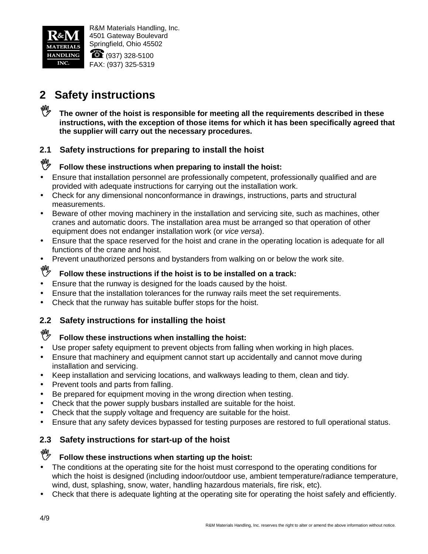

 $\heartsuit$  : (937) 328-5100 FAX: (937) 325-5319

# **2 Safety instructions**

The owner of the hoist is responsible for meeting all the requirements described in these **instructions, with the exception of those items for which it has been specifically agreed that the supplier will carry out the necessary procedures.**

### **2.1 Safety instructions for preparing to install the hoist**

### **Follow these instructions when preparing to install the hoist:**

- Ensure that installation personnel are professionally competent, professionally qualified and are provided with adequate instructions for carrying out the installation work.
- Check for any dimensional nonconformance in drawings, instructions, parts and structural measurements.
- Beware of other moving machinery in the installation and servicing site, such as machines, other cranes and automatic doors. The installation area must be arranged so that operation of other equipment does not endanger installation work (or *vice versa*).
- Ensure that the space reserved for the hoist and crane in the operating location is adequate for all functions of the crane and hoist.
- Prevent unauthorized persons and bystanders from walking on or below the work site.

# **Follow these instructions if the hoist is to be installed on a track:**

- Ensure that the runway is designed for the loads caused by the hoist.
- Ensure that the installation tolerances for the runway rails meet the set requirements.
- Check that the runway has suitable buffer stops for the hoist.

### **2.2 Safety instructions for installing the hoist**

# **If** Follow these instructions when installing the hoist:

- Use proper safety equipment to prevent objects from falling when working in high places.
- Ensure that machinery and equipment cannot start up accidentally and cannot move during installation and servicing.
- Keep installation and servicing locations, and walkways leading to them, clean and tidy.
- Prevent tools and parts from falling.
- Be prepared for equipment moving in the wrong direction when testing.
- Check that the power supply busbars installed are suitable for the hoist.
- Check that the supply voltage and frequency are suitable for the hoist.
- Ensure that any safety devices bypassed for testing purposes are restored to full operational status.

### **2.3 Safety instructions for start-up of the hoist**

#### **Follow these instructions when starting up the hoist:**

- The conditions at the operating site for the hoist must correspond to the operating conditions for which the hoist is designed (including indoor/outdoor use, ambient temperature/radiance temperature, wind, dust, splashing, snow, water, handling hazardous materials, fire risk, etc).
- Check that there is adequate lighting at the operating site for operating the hoist safely and efficiently.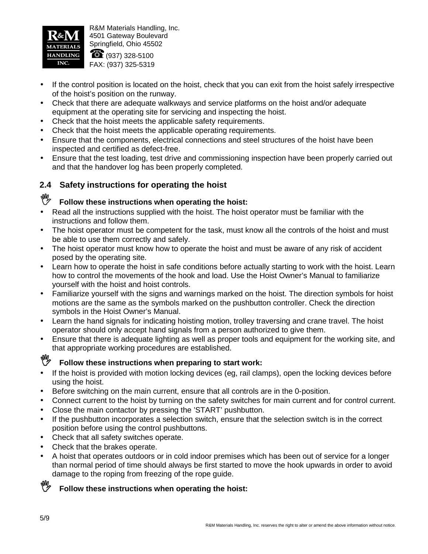

 $\bullet$  : (937) 328-5100 FAX: (937) 325-5319

- If the control position is located on the hoist, check that you can exit from the hoist safely irrespective of the hoist's position on the runway.
- Check that there are adequate walkways and service platforms on the hoist and/or adequate equipment at the operating site for servicing and inspecting the hoist.
- Check that the hoist meets the applicable safety requirements.
- Check that the hoist meets the applicable operating requirements.
- Ensure that the components, electrical connections and steel structures of the hoist have been inspected and certified as defect-free.
- Ensure that the test loading, test drive and commissioning inspection have been properly carried out and that the handover log has been properly completed.

### **2.4 Safety instructions for operating the hoist**

# **Follow these instructions when operating the hoist:**

- Read all the instructions supplied with the hoist. The hoist operator must be familiar with the instructions and follow them.
- The hoist operator must be competent for the task, must know all the controls of the hoist and must be able to use them correctly and safely.
- The hoist operator must know how to operate the hoist and must be aware of any risk of accident posed by the operating site.
- Learn how to operate the hoist in safe conditions before actually starting to work with the hoist. Learn how to control the movements of the hook and load. Use the Hoist Owner's Manual to familiarize yourself with the hoist and hoist controls.
- Familiarize yourself with the signs and warnings marked on the hoist. The direction symbols for hoist motions are the same as the symbols marked on the pushbutton controller. Check the direction symbols in the Hoist Owner's Manual.
- Learn the hand signals for indicating hoisting motion, trolley traversing and crane travel. The hoist operator should only accept hand signals from a person authorized to give them.
- Ensure that there is adequate lighting as well as proper tools and equipment for the working site, and that appropriate working procedures are established.

### **Follow these instructions when preparing to start work:**

- If the hoist is provided with motion locking devices (eg, rail clamps), open the locking devices before using the hoist.
- Before switching on the main current, ensure that all controls are in the 0-position.
- Connect current to the hoist by turning on the safety switches for main current and for control current.
- Close the main contactor by pressing the 'START' pushbutton.
- If the pushbutton incorporates a selection switch, ensure that the selection switch is in the correct position before using the control pushbuttons.
- Check that all safety switches operate.
- Check that the brakes operate.
- A hoist that operates outdoors or in cold indoor premises which has been out of service for a longer than normal period of time should always be first started to move the hook upwards in order to avoid damage to the roping from freezing of the rope guide.

### **Follow these instructions when operating the hoist:**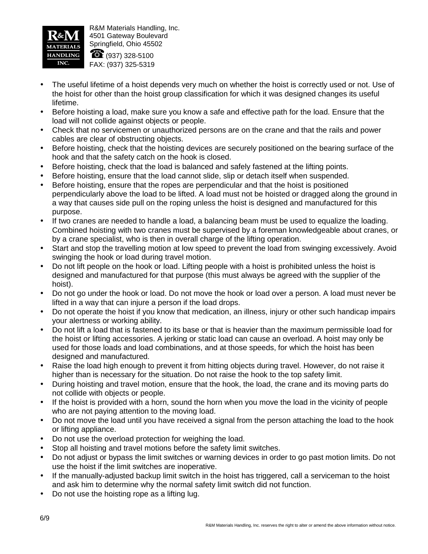

 $\bullet$  : (937) 328-5100 FAX: (937) 325-5319

- The useful lifetime of a hoist depends very much on whether the hoist is correctly used or not. Use of the hoist for other than the hoist group classification for which it was designed changes its useful lifetime.
- Before hoisting a load, make sure you know a safe and effective path for the load. Ensure that the load will not collide against objects or people.
- Check that no servicemen or unauthorized persons are on the crane and that the rails and power cables are clear of obstructing objects.
- Before hoisting, check that the hoisting devices are securely positioned on the bearing surface of the hook and that the safety catch on the hook is closed.
- Before hoisting, check that the load is balanced and safely fastened at the lifting points.
- Before hoisting, ensure that the load cannot slide, slip or detach itself when suspended.
- Before hoisting, ensure that the ropes are perpendicular and that the hoist is positioned perpendicularly above the load to be lifted. A load must not be hoisted or dragged along the ground in a way that causes side pull on the roping unless the hoist is designed and manufactured for this purpose.
- If two cranes are needed to handle a load, a balancing beam must be used to equalize the loading. Combined hoisting with two cranes must be supervised by a foreman knowledgeable about cranes, or by a crane specialist, who is then in overall charge of the lifting operation.
- Start and stop the travelling motion at low speed to prevent the load from swinging excessively. Avoid swinging the hook or load during travel motion.
- Do not lift people on the hook or load. Lifting people with a hoist is prohibited unless the hoist is designed and manufactured for that purpose (this must always be agreed with the supplier of the hoist).
- Do not go under the hook or load. Do not move the hook or load over a person. A load must never be lifted in a way that can injure a person if the load drops.
- Do not operate the hoist if you know that medication, an illness, injury or other such handicap impairs your alertness or working ability.
- Do not lift a load that is fastened to its base or that is heavier than the maximum permissible load for the hoist or lifting accessories. A jerking or static load can cause an overload. A hoist may only be used for those loads and load combinations, and at those speeds, for which the hoist has been designed and manufactured.
- Raise the load high enough to prevent it from hitting objects during travel. However, do not raise it higher than is necessary for the situation. Do not raise the hook to the top safety limit.
- During hoisting and travel motion, ensure that the hook, the load, the crane and its moving parts do not collide with objects or people.
- If the hoist is provided with a horn, sound the horn when you move the load in the vicinity of people who are not paying attention to the moving load.
- Do not move the load until you have received a signal from the person attaching the load to the hook or lifting appliance.
- Do not use the overload protection for weighing the load.
- Stop all hoisting and travel motions before the safety limit switches.
- Do not adjust or bypass the limit switches or warning devices in order to go past motion limits. Do not use the hoist if the limit switches are inoperative.
- If the manually-adjusted backup limit switch in the hoist has triggered, call a serviceman to the hoist and ask him to determine why the normal safety limit switch did not function.
- Do not use the hoisting rope as a lifting lug.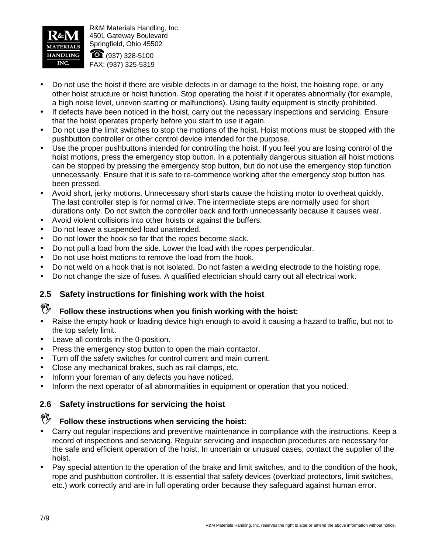

 $\bullet$  : (937) 328-5100 FAX: (937) 325-5319

- Do not use the hoist if there are visible defects in or damage to the hoist, the hoisting rope, or any other hoist structure or hoist function. Stop operating the hoist if it operates abnormally (for example, a high noise level, uneven starting or malfunctions). Using faulty equipment is strictly prohibited.
- If defects have been noticed in the hoist, carry out the necessary inspections and servicing. Ensure that the hoist operates properly before you start to use it again.
- Do not use the limit switches to stop the motions of the hoist. Hoist motions must be stopped with the pushbutton controller or other control device intended for the purpose.
- Use the proper pushbuttons intended for controlling the hoist. If you feel you are losing control of the hoist motions, press the emergency stop button. In a potentially dangerous situation all hoist motions can be stopped by pressing the emergency stop button, but do not use the emergency stop function unnecessarily. Ensure that it is safe to re-commence working after the emergency stop button has been pressed.
- Avoid short, jerky motions. Unnecessary short starts cause the hoisting motor to overheat quickly. The last controller step is for normal drive. The intermediate steps are normally used for short durations only. Do not switch the controller back and forth unnecessarily because it causes wear.
- Avoid violent collisions into other hoists or against the buffers.
- Do not leave a suspended load unattended.
- Do not lower the hook so far that the ropes become slack.
- Do not pull a load from the side. Lower the load with the ropes perpendicular.
- Do not use hoist motions to remove the load from the hook.
- Do not weld on a hook that is not isolated. Do not fasten a welding electrode to the hoisting rope.
- Do not change the size of fuses. A qualified electrician should carry out all electrical work.

### **2.5 Safety instructions for finishing work with the hoist**

#### **Follow these instructions when you finish working with the hoist:**

- Raise the empty hook or loading device high enough to avoid it causing a hazard to traffic, but not to the top safety limit.
- Leave all controls in the 0-position.
- Press the emergency stop button to open the main contactor.
- Turn off the safety switches for control current and main current.
- Close any mechanical brakes, such as rail clamps, etc.
- Inform your foreman of any defects you have noticed.
- Inform the next operator of all abnormalities in equipment or operation that you noticed.

### **2.6 Safety instructions for servicing the hoist**

# **Follow these instructions when servicing the hoist:**

- Carry out regular inspections and preventive maintenance in compliance with the instructions. Keep a record of inspections and servicing. Regular servicing and inspection procedures are necessary for the safe and efficient operation of the hoist. In uncertain or unusual cases, contact the supplier of the hoist.
- Pay special attention to the operation of the brake and limit switches, and to the condition of the hook, rope and pushbutton controller. It is essential that safety devices (overload protectors, limit switches, etc.) work correctly and are in full operating order because they safeguard against human error.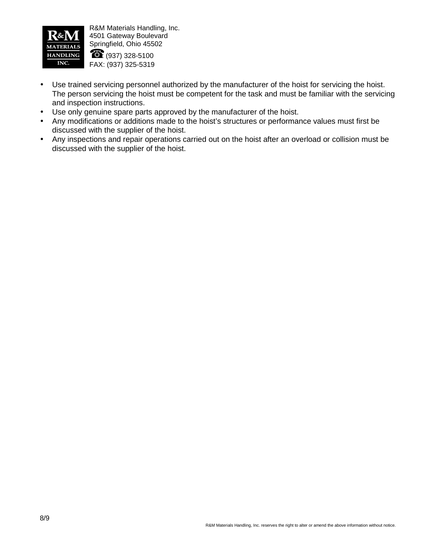

 $\$\; :$  (937) 328-5100 FAX: (937) 325-5319

- Use trained servicing personnel authorized by the manufacturer of the hoist for servicing the hoist. The person servicing the hoist must be competent for the task and must be familiar with the servicing and inspection instructions.
- Use only genuine spare parts approved by the manufacturer of the hoist.
- Any modifications or additions made to the hoist's structures or performance values must first be discussed with the supplier of the hoist.
- Any inspections and repair operations carried out on the hoist after an overload or collision must be discussed with the supplier of the hoist.